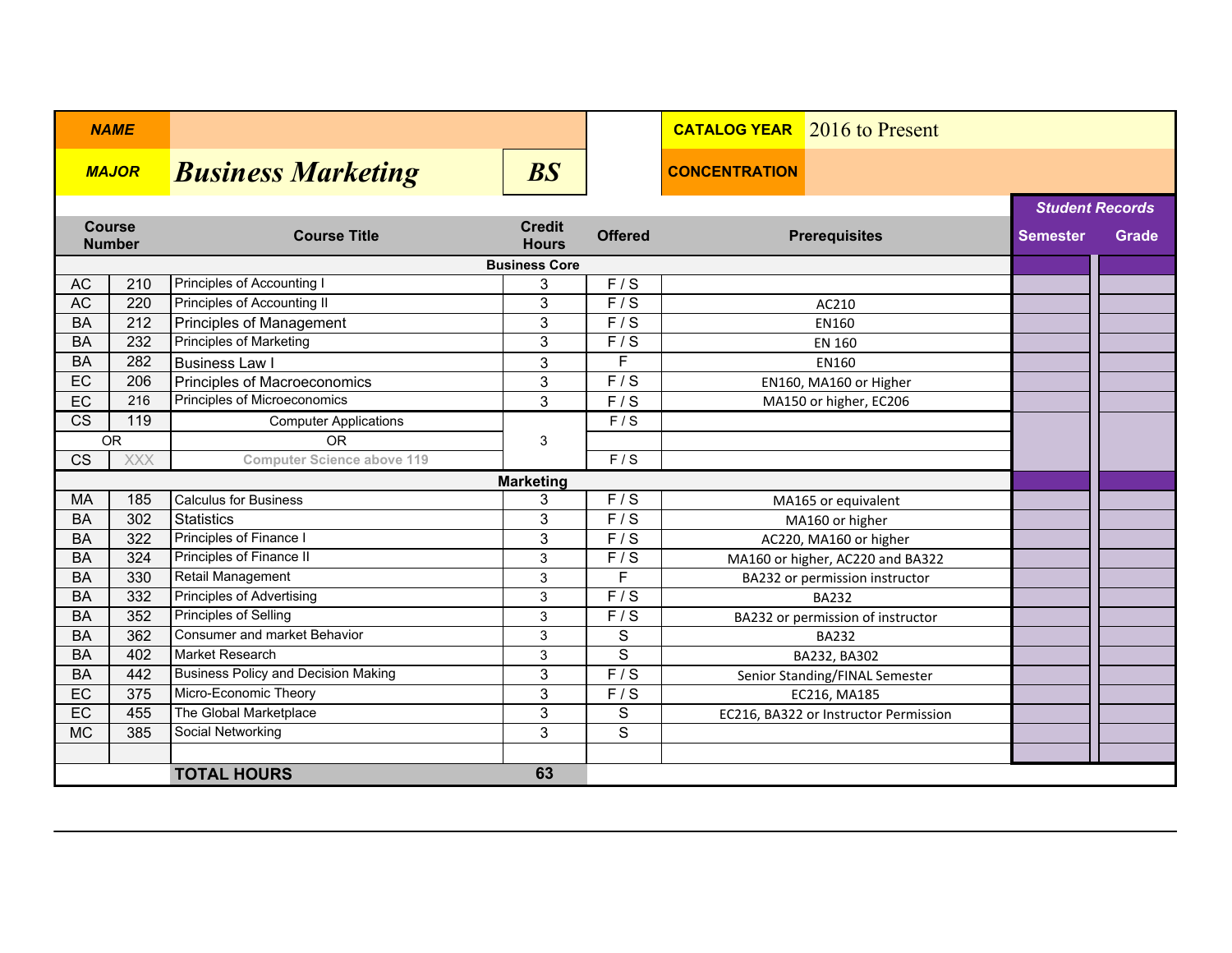| <b>NAME</b>                          |           |                                            |                               |                         | <b>CATALOG YEAR</b> 2016 to Present   |                        |       |  |
|--------------------------------------|-----------|--------------------------------------------|-------------------------------|-------------------------|---------------------------------------|------------------------|-------|--|
| <b>MAJOR</b>                         |           | <b>Business Marketing</b>                  | $\overline{BS}$               |                         | <b>CONCENTRATION</b>                  |                        |       |  |
|                                      |           |                                            |                               |                         |                                       | <b>Student Records</b> |       |  |
| <b>Course</b><br><b>Number</b>       |           | <b>Course Title</b>                        | <b>Credit</b><br><b>Hours</b> | <b>Offered</b>          | <b>Prerequisites</b>                  | <b>Semester</b>        | Grade |  |
| <b>Business Core</b>                 |           |                                            |                               |                         |                                       |                        |       |  |
| <b>AC</b>                            | 210       | Principles of Accounting I                 | 3                             | F/S                     |                                       |                        |       |  |
| AC                                   | 220       | <b>Principles of Accounting II</b>         | 3                             | $\overline{F/S}$        | AC210                                 |                        |       |  |
| <b>BA</b>                            | 212       | <b>Principles of Management</b>            | 3                             | $\overline{F/S}$        | EN160                                 |                        |       |  |
| <b>BA</b>                            | 232       | <b>Principles of Marketing</b>             | 3                             | F/S                     | <b>EN 160</b>                         |                        |       |  |
| <b>BA</b>                            | 282       | <b>Business Law I</b>                      | 3                             | F                       | EN160                                 |                        |       |  |
| EC                                   | 206       | Principles of Macroeconomics               | 3                             | F/S                     | EN160, MA160 or Higher                |                        |       |  |
| EC                                   | 216       | Principles of Microeconomics               | 3                             | F/S                     | MA150 or higher, EC206                |                        |       |  |
| $\overline{\text{CS}}$               | 119       | <b>Computer Applications</b>               |                               | F/S                     |                                       |                        |       |  |
|                                      | <b>OR</b> | <b>OR</b>                                  | 3                             |                         |                                       |                        |       |  |
| $\overline{\text{CS}}$<br><b>XXX</b> |           | <b>Computer Science above 119</b>          |                               | F/S                     |                                       |                        |       |  |
| <b>Marketing</b>                     |           |                                            |                               |                         |                                       |                        |       |  |
| <b>MA</b>                            | 185       | <b>Calculus for Business</b>               | 3                             | F/S                     | MA165 or equivalent                   |                        |       |  |
| <b>BA</b>                            | 302       | <b>Statistics</b>                          | 3                             | F/S                     | MA160 or higher                       |                        |       |  |
| <b>BA</b>                            | 322       | Principles of Finance I                    | 3                             | $\overline{F/S}$        | AC220, MA160 or higher                |                        |       |  |
| <b>BA</b>                            | 324       | Principles of Finance II                   | 3                             | $\overline{F/S}$        | MA160 or higher, AC220 and BA322      |                        |       |  |
| <b>BA</b>                            | 330       | Retail Management                          | 3                             | F                       | BA232 or permission instructor        |                        |       |  |
| <b>BA</b>                            | 332       | <b>Principles of Advertising</b>           | 3                             | $\overline{F/S}$        | <b>BA232</b>                          |                        |       |  |
| <b>BA</b>                            | 352       | <b>Principles of Selling</b>               | 3                             | $\overline{F/S}$        | BA232 or permission of instructor     |                        |       |  |
| <b>BA</b>                            | 362       | Consumer and market Behavior               | 3                             | S                       | <b>BA232</b>                          |                        |       |  |
| <b>BA</b>                            | 402       | <b>Market Research</b>                     | 3                             | S                       | BA232, BA302                          |                        |       |  |
| <b>BA</b>                            | 442       | <b>Business Policy and Decision Making</b> | 3                             | $\overline{F/S}$        | Senior Standing/FINAL Semester        |                        |       |  |
| EC                                   | 375       | Micro-Economic Theory                      | $\overline{3}$                | $\overline{F/S}$        | EC216, MA185                          |                        |       |  |
| EC                                   | 455       | The Global Marketplace                     | 3                             | $\mathbf S$             | EC216, BA322 or Instructor Permission |                        |       |  |
| <b>MC</b>                            | 385       | Social Networking                          | 3                             | $\overline{\mathsf{S}}$ |                                       |                        |       |  |
|                                      |           |                                            |                               |                         |                                       |                        |       |  |
|                                      |           | <b>TOTAL HOURS</b>                         | 63                            |                         |                                       |                        |       |  |